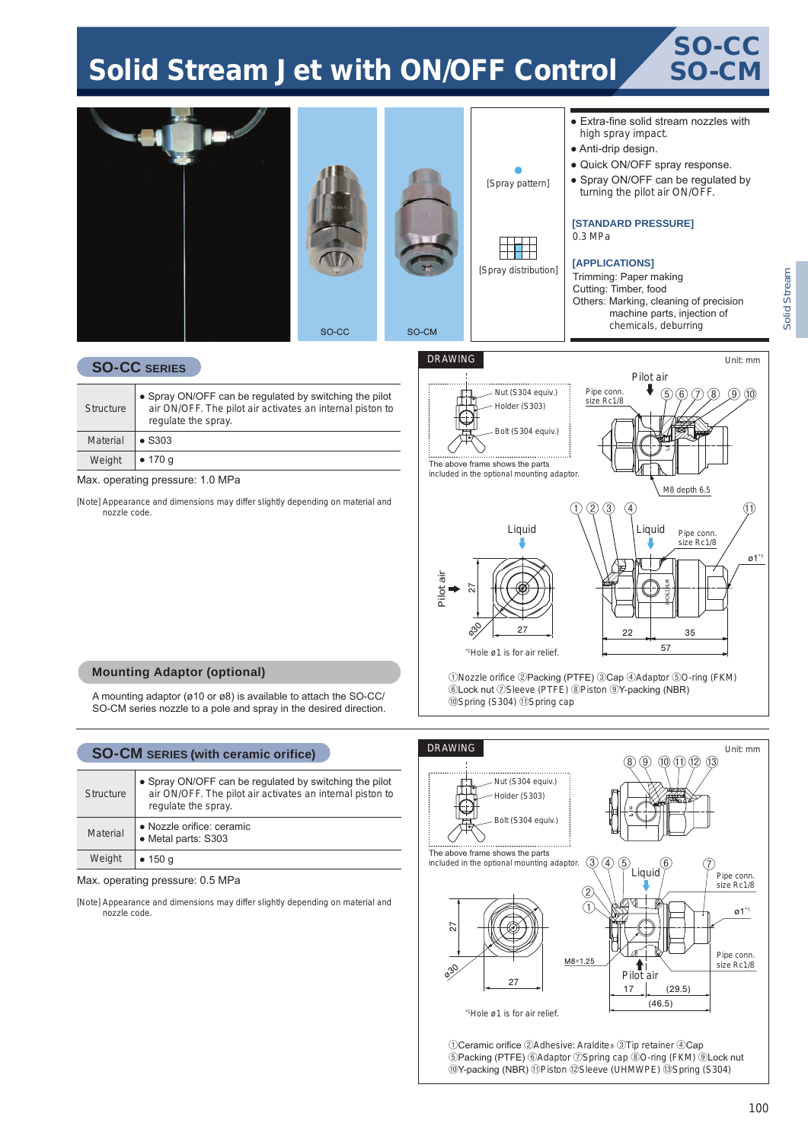# Solid Stream Jet with ON/OFF Control





[Note] Appearance and dimensions may differ slightly depending on material and nozzle code.



#### **Mounting Adaptor (optional)**

A mounting adaptor (ø10 or ø8) is available to attach the SO-CC/ SO-CM series nozzle to a pole and spray in the desired direction.

# **SO-CM SERIES (with ceramic orifice)**

| <b>Structure</b> | • Spray ON/OFF can be regulated by switching the pilot<br>air ON/OFF. The pilot air activates an internal piston to<br>regulate the spray. |
|------------------|--------------------------------------------------------------------------------------------------------------------------------------------|
| Material         | • Nozzle orifice: ceramic<br>• Metal parts: S303                                                                                           |
| Weight           | • 150 g                                                                                                                                    |

Max. operating pressure: 0.5 MPa

[Note] Appearance and dimensions may differ slightly depending on material and nozzle code.

#### ①Nozzle orifice ②Packing (PTFE) ③Cap ④Adaptor ⑤O-ring (FKM) ⑥Lock nut ⑦Sleeve (PTFE) ⑧Piston ⑨Y-packing (NBR) ⑩Spring (S304) ⑪Spring cap



①Ceramic orifice ②Adhesive: Araldite® ③Tip retainer ④Cap ⑤Packing (PTFE) ⑥Adaptor ⑦Spring cap ⑧O-ring (FKM) ⑨Lock nut ⑩Y-packing (NBR) ⑪Piston ⑫Sleeve (UHMWPE) ⑬Spring (S304)